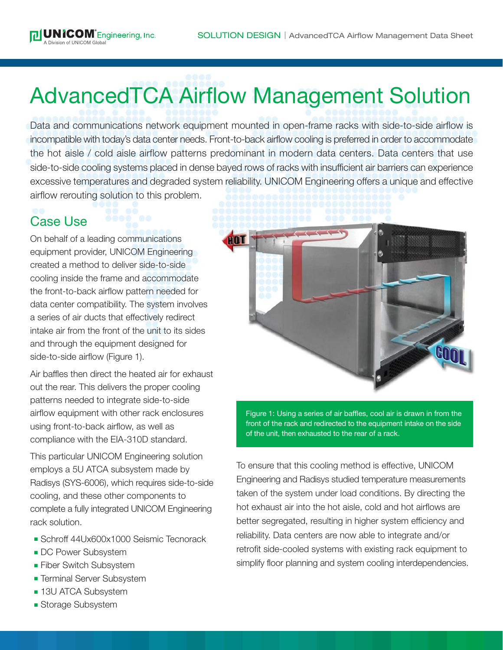## AdvancedTCA Airflow Management Solution

Data and communications network equipment mounted in open-frame racks with side-to-side airflow is incompatible with today's data center needs. Front-to-back airflow cooling is preferred in order to accommodate the hot aisle / cold aisle airflow patterns predominant in modern data centers. Data centers that use side-to-side cooling systems placed in dense bayed rows of racks with insufficient air barriers can experience excessive temperatures and degraded system reliability. UNICOM Engineering offers a unique and effective airflow rerouting solution to this problem.

## Case Use

On behalf of a leading communications equipment provider, UNICOM Engineering created a method to deliver side-to-side cooling inside the frame and accommodate the front-to-back airflow pattern needed for data center compatibility. The system involves a series of air ducts that effectively redirect intake air from the front of the unit to its sides and through the equipment designed for side-to-side airflow (Figure 1).

Air baffles then direct the heated air for exhaust out the rear. This delivers the proper cooling patterns needed to integrate side-to-side airflow equipment with other rack enclosures using front-to-back airflow, as well as compliance with the EIA-310D standard.

This particular UNICOM Engineering solution employs a 5U ATCA subsystem made by Radisys (SYS-6006), which requires side-to-side cooling, and these other components to complete a fully integrated UNICOM Engineering rack solution.

- <sup>n</sup> Schroff 44Ux600x1000 Seismic Tecnorack
- **DC Power Subsystem**
- **Fiber Switch Subsystem**
- **Terminal Server Subsystem**
- **13U ATCA Subsystem**
- **Bubsystem**



Figure 1: Using a series of air baffles, cool air is drawn in from the front of the rack and redirected to the equipment intake on the side of the unit, then exhausted to the rear of a rack.

To ensure that this cooling method is effective, UNICOM Engineering and Radisys studied temperature measurements taken of the system under load conditions. By directing the hot exhaust air into the hot aisle, cold and hot airflows are better segregated, resulting in higher system efficiency and reliability. Data centers are now able to integrate and/or retrofit side-cooled systems with existing rack equipment to simplify floor planning and system cooling interdependencies.